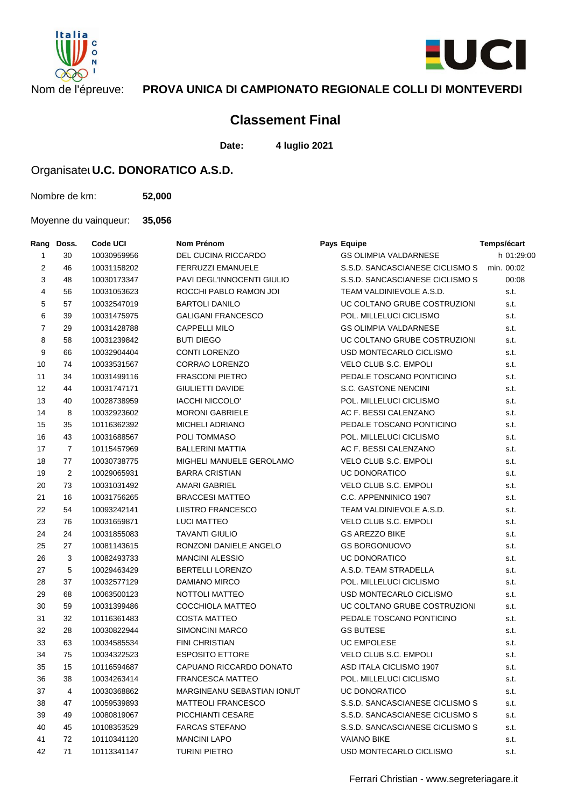



## Nom de l'épreuve: **PROVA UNICA DI CAMPIONATO REGIONALE COLLI DI MONTEVERDI**

## **Classement Final**

**Date: 4 luglio 2021**

## Organisatel **U.C. DONORATICO A.S.D.**

Nombre de km: **52,000**

Moyenne du vainqueur: **35,056**

| Rang           | Doss.          | Code UCI    | Nom Prénom                        | Pays Equipe                                | Temps/écart |
|----------------|----------------|-------------|-----------------------------------|--------------------------------------------|-------------|
| $\mathbf{1}$   | 30             | 10030959956 | <b>DEL CUCINA RICCARDO</b>        | <b>GS OLIMPIA VALDARNESE</b>               | h 01:29:00  |
| 2              | 46             | 10031158202 | <b>FERRUZZI EMANUELE</b>          | S.S.D. SANCASCIANESE CICLISMO S min. 00:02 |             |
| 3              | 48             | 10030173347 | <b>PAVI DEGL'INNOCENTI GIULIO</b> | S.S.D. SANCASCIANESE CICLISMO S            | 00:08       |
| 4              | 56             | 10031053623 | ROCCHI PABLO RAMON JOI            | TEAM VALDINIEVOLE A.S.D.                   | s.t.        |
| 5              | 57             | 10032547019 | <b>BARTOLI DANILO</b>             | UC COLTANO GRUBE COSTRUZIONI               | s.t.        |
| 6              | 39             | 10031475975 | <b>GALIGANI FRANCESCO</b>         | POL. MILLELUCI CICLISMO                    | s.t.        |
| $\overline{7}$ | 29             | 10031428788 | <b>CAPPELLI MILO</b>              | <b>GS OLIMPIA VALDARNESE</b>               | s.t.        |
| 8              | 58             | 10031239842 | <b>BUTI DIEGO</b>                 | UC COLTANO GRUBE COSTRUZIONI               | s.t.        |
| 9              | 66             | 10032904404 | <b>CONTI LORENZO</b>              | USD MONTECARLO CICLISMO                    | s.t.        |
| 10             | 74             | 10033531567 | <b>CORRAO LORENZO</b>             | VELO CLUB S.C. EMPOLI                      | s.t.        |
| 11             | 34             | 10031499116 | <b>FRASCONI PIETRO</b>            | PEDALE TOSCANO PONTICINO                   | s.t.        |
| 12             | 44             | 10031747171 | <b>GIULIETTI DAVIDE</b>           | S.C. GASTONE NENCINI                       | s.t.        |
| 13             | 40             | 10028738959 | <b>IACCHI NICCOLO'</b>            | POL. MILLELUCI CICLISMO                    | s.t.        |
| 14             | 8              | 10032923602 | <b>MORONI GABRIELE</b>            | AC F. BESSI CALENZANO                      | s.t.        |
| 15             | 35             | 10116362392 | <b>MICHELI ADRIANO</b>            | PEDALE TOSCANO PONTICINO                   | s.t.        |
| 16             | 43             | 10031688567 | POLI TOMMASO                      | POL. MILLELUCI CICLISMO                    | s.t.        |
| 17             | $\overline{7}$ | 10115457969 | <b>BALLERINI MATTIA</b>           | AC F. BESSI CALENZANO                      | s.t.        |
| 18             | 77             | 10030738775 | MIGHELI MANUELE GEROLAMO          | VELO CLUB S.C. EMPOLI                      | s.t.        |
| 19             | 2              | 10029065931 | <b>BARRA CRISTIAN</b>             | UC DONORATICO                              | s.t.        |
| 20             | 73             | 10031031492 | AMARI GABRIEL                     | <b>VELO CLUB S.C. EMPOLI</b>               | s.t.        |
| 21             | 16             | 10031756265 | <b>BRACCESI MATTEO</b>            | C.C. APPENNINICO 1907                      | s.t.        |
| 22             | 54             | 10093242141 | <b>LIISTRO FRANCESCO</b>          | TEAM VALDINIEVOLE A.S.D.                   | s.t.        |
| 23             | 76             | 10031659871 | <b>LUCI MATTEO</b>                | VELO CLUB S.C. EMPOLI                      | s.t.        |
| 24             | 24             | 10031855083 | <b>TAVANTI GIULIO</b>             | <b>GS AREZZO BIKE</b>                      | s.t.        |
| 25             | 27             | 10081143615 | RONZONI DANIELE ANGELO            | <b>GS BORGONUOVO</b>                       | s.t.        |
| 26             | 3              | 10082493733 | <b>MANCINI ALESSIO</b>            | UC DONORATICO                              | s.t.        |
| 27             | 5              | 10029463429 | <b>BERTELLI LORENZO</b>           | A.S.D. TEAM STRADELLA                      | s.t.        |
| 28             | 37             | 10032577129 | DAMIANO MIRCO                     | POL. MILLELUCI CICLISMO                    | s.t.        |
| 29             | 68             | 10063500123 | NOTTOLI MATTEO                    | USD MONTECARLO CICLISMO                    | s.t.        |
| 30             | 59             | 10031399486 | COCCHIOLA MATTEO                  | UC COLTANO GRUBE COSTRUZIONI               | s.t.        |
| 31             | 32             | 10116361483 | <b>COSTA MATTEO</b>               | PEDALE TOSCANO PONTICINO                   | s.t.        |
| 32             | 28             | 10030822944 | <b>SIMONCINI MARCO</b>            | <b>GS BUTESE</b>                           | s.t.        |
| 33             | 63             | 10034585534 | <b>FINI CHRISTIAN</b>             | <b>UC EMPOLESE</b>                         | s.t.        |
| 34             | 75             | 10034322523 | <b>ESPOSITO ETTORE</b>            | VELO CLUB S.C. EMPOLI                      | s.t.        |
| 35             | 15             | 10116594687 | CAPUANO RICCARDO DONATO           | ASD ITALA CICLISMO 1907                    | s.t.        |
| 36             | 38             | 10034263414 | FRANCESCA MATTEO                  | POL. MILLELUCI CICLISMO                    | s.t.        |
| 37             | 4              | 10030368862 | MARGINEANU SEBASTIAN IONUT        | UC DONORATICO                              | s.t.        |
| 38             | 47             | 10059539893 | <b>MATTEOLI FRANCESCO</b>         | S.S.D. SANCASCIANESE CICLISMO S            | s.t.        |
| 39             | 49             | 10080819067 | PICCHIANTI CESARE                 | S.S.D. SANCASCIANESE CICLISMO S            | s.t.        |
| 40             | 45             | 10108353529 | <b>FARCAS STEFANO</b>             | S.S.D. SANCASCIANESE CICLISMO S            | s.t.        |
| 41             | 72             | 10110341120 | <b>MANCINI LAPO</b>               | <b>VAIANO BIKE</b>                         | s.t.        |
| 42             | 71             | 10113341147 | <b>TURINI PIETRO</b>              | USD MONTECARLO CICLISMO                    | s.t.        |
|                |                |             |                                   |                                            |             |